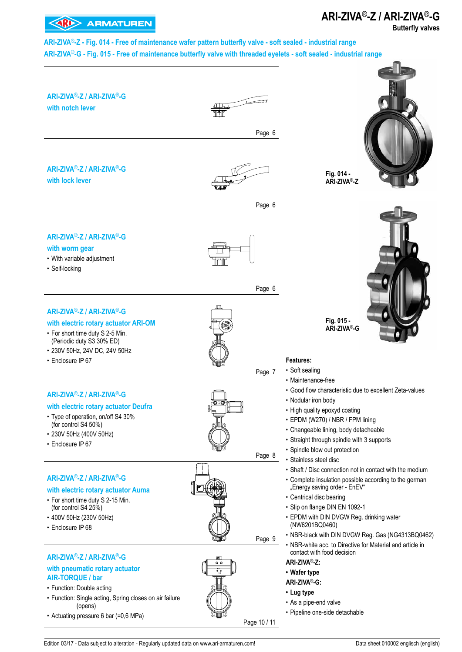# **ARI-ZIVA**®**-Z / ARI-ZIVA**®**-G**

#### **KARD** ARMATUREN **Butterfly valves ARI-ZIVA**®**-Z - Fig. 014 - Free of maintenance wafer pattern butterfly valve - soft sealed - industrial range ARI-ZIVA**®**-G - Fig. 015 - Free of maintenance butterfly valve with threaded eyelets - soft sealed - industrial range ARI-ZIVA**®**-Z / ARI-ZIVA**®**-G with notch lever** Page 6 **ARI-ZIVA**®**-Z / ARI-ZIVA**®**-G Fig. 014 with lock lever ARI-ZIVA**®**-Z** Page 6 **ARI-ZIVA**®**-Z / ARI-ZIVA**®**-G with worm gear**  • With variable adjustment • Self-locking Page 6 **ARI-ZIVA**®**-Z / ARI-ZIVA**®**-G Fig. 015 with electric rotary actuator ARI-OM ARI-ZIVA**®**-G**• For short time duty S 2-5 Min. (Periodic duty S3 30% ED) • 230V 50Hz, 24V DC, 24V 50Hz • Enclosure IP 67 **Features:**  • Soft sealing Page 7 • Maintenance-free • Good flow characteristic due to excellent Zeta-values **ARI-ZIVA**®**-Z / ARI-ZIVA**®**-G** • Nodular iron body **with electric rotary actuator Deufra**  • High quality epoxyd coating • Type of operation, on/off S4 30% • EPDM (W270) / NBR / FPM lining (for control S4 50%) • Changeable lining, body detacheable • 230V 50Hz (400V 50Hz) • Straight through spindle with 3 supports • Enclosure IP 67 • Spindle blow out protection Page 8 • Stainless steel disc • Shaft / Disc connection not in contact with the medium **ARI-ZIVA**®**-Z / ARI-ZIVA**®**-G** • Complete insulation possible according to the german "Energy saving order - EnEV" **with electric rotary actuator Auma** • Centrical disc bearing • For short time duty S 2-15 Min. • Slip on flange DIN EN 1092-1 (for control S4 25%) • 400V 50Hz (230V 50Hz) • EPDM with DIN DVGW Reg. drinking water (NW6201BQ0460) • Enclosure IP 68 • NBR-black with DIN DVGW Reg. Gas (NG4313BQ0462) Page 9 • NBR-white acc. to Directive for Material and article in contact with food decision **ARI-ZIVA**®**-Z / ARI-ZIVA**®**-G ARI-ZIVA®-Z: with pneumatic rotary actuator • Wafer type AIR-TORQUE / bar ARI-ZIVA®-G:**  • Function: Double acting **• Lug type** • Function: Single acting, Spring closes on air failure • As a pipe-end valve (opens) • Pipeline one-side detachable • Actuating pressure 6 bar (=0,6 MPa) Page 10 / 11

Edition 03/17 - Data subject to alteration - Regularly updated data on www.ari-armaturen.com! Data sheet 010002 englisch (english)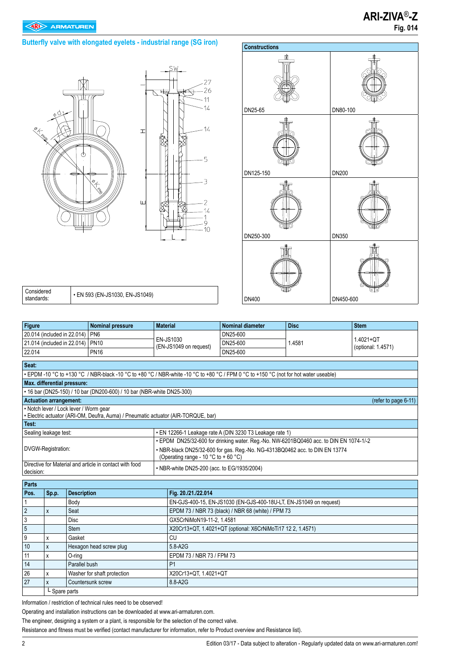





| Considered<br>standards: | • EN 593 (EN-JS1030, EN-JS1049) |
|--------------------------|---------------------------------|
|--------------------------|---------------------------------|

| <b>Figure</b>                                         |                                        | <b>Nominal pressure</b>                                                                                                              | <b>Material</b>                             | <b>Nominal diameter</b>                                                                | <b>Disc</b> | <b>Stem</b>                     |  |  |  |  |  |  |  |
|-------------------------------------------------------|----------------------------------------|--------------------------------------------------------------------------------------------------------------------------------------|---------------------------------------------|----------------------------------------------------------------------------------------|-------------|---------------------------------|--|--|--|--|--|--|--|
|                                                       | 20.014 (included in 22.014)            | PN <sub>6</sub>                                                                                                                      |                                             | DN25-600                                                                               |             |                                 |  |  |  |  |  |  |  |
|                                                       | 21.014 (included in 22.014)            | <b>PN10</b>                                                                                                                          | EN-JS1030<br>(EN-JS1049 on request)         | DN25-600                                                                               | 1.4581      | 1.4021+QT<br>(optional: 1.4571) |  |  |  |  |  |  |  |
| 22.014                                                |                                        | <b>PN16</b>                                                                                                                          |                                             | DN25-600                                                                               |             |                                 |  |  |  |  |  |  |  |
| Seat:                                                 |                                        |                                                                                                                                      |                                             |                                                                                        |             |                                 |  |  |  |  |  |  |  |
|                                                       |                                        | • EPDM -10 °C to +130 °C / NBR-black -10 °C to +80 °C / NBR-white -10 °C to +80 °C / FPM 0 °C to +150 °C (not for hot water useable) |                                             |                                                                                        |             |                                 |  |  |  |  |  |  |  |
|                                                       |                                        | Max. differential pressure:                                                                                                          |                                             |                                                                                        |             |                                 |  |  |  |  |  |  |  |
|                                                       |                                        | • 16 bar (DN25-150) / 10 bar (DN200-600) / 10 bar (NBR-white DN25-300)                                                               |                                             |                                                                                        |             |                                 |  |  |  |  |  |  |  |
| <b>Actuation arrangement:</b><br>(refer to page 6-11) |                                        |                                                                                                                                      |                                             |                                                                                        |             |                                 |  |  |  |  |  |  |  |
|                                                       | • Notch lever / Lock lever / Worm gear |                                                                                                                                      |                                             |                                                                                        |             |                                 |  |  |  |  |  |  |  |
|                                                       |                                        | · Electric actuator (ARI-OM, Deufra, Auma) / Pneumatic actuator (AIR-TORQUE, bar)                                                    |                                             |                                                                                        |             |                                 |  |  |  |  |  |  |  |
| Test:                                                 |                                        |                                                                                                                                      |                                             |                                                                                        |             |                                 |  |  |  |  |  |  |  |
|                                                       | Sealing leakage test:                  |                                                                                                                                      |                                             | • EN 12266-1 Leakage rate A (DIN 3230 T3 Leakage rate 1)                               |             |                                 |  |  |  |  |  |  |  |
|                                                       |                                        |                                                                                                                                      |                                             | • EPDM DN25/32-600 for drinking water. Reg.-No. NW-6201BQ0460 acc. to DIN EN 1074-1/-2 |             |                                 |  |  |  |  |  |  |  |
|                                                       | DVGW-Registration:                     |                                                                                                                                      |                                             | . NBR-black DN25/32-600 for gas. Reg.-No. NG-4313BQ0462 acc. to DIN EN 13774           |             |                                 |  |  |  |  |  |  |  |
|                                                       |                                        | Directive for Material and article in contact with food                                                                              | (Operating range - 10 °C to + 60 °C)        |                                                                                        |             |                                 |  |  |  |  |  |  |  |
| decision:                                             |                                        |                                                                                                                                      | • NBR-white DN25-200 (acc. to EG/1935/2004) |                                                                                        |             |                                 |  |  |  |  |  |  |  |
|                                                       |                                        |                                                                                                                                      |                                             |                                                                                        |             |                                 |  |  |  |  |  |  |  |
| Parts                                                 |                                        |                                                                                                                                      |                                             |                                                                                        |             |                                 |  |  |  |  |  |  |  |
| Pos.                                                  | Sp.p.                                  | <b>Description</b>                                                                                                                   |                                             | Fig. 20./21./22.014                                                                    |             |                                 |  |  |  |  |  |  |  |
| 1                                                     |                                        | Body                                                                                                                                 |                                             | EN-GJS-400-15, EN-JS1030 (EN-GJS-400-18U-LT, EN-JS1049 on request)                     |             |                                 |  |  |  |  |  |  |  |
| $\overline{2}$                                        | X                                      | Seat                                                                                                                                 |                                             | EPDM 73 / NBR 73 (black) / NBR 68 (white) / FPM 73                                     |             |                                 |  |  |  |  |  |  |  |
| 3                                                     |                                        | <b>Disc</b>                                                                                                                          | GX5CrNiMoN19-11-2. 1.4581                   |                                                                                        |             |                                 |  |  |  |  |  |  |  |
| 5                                                     |                                        | <b>Stem</b>                                                                                                                          |                                             | X20Cr13+QT, 1.4021+QT (optional: X6CrNiMoTi17 12 2, 1.4571)                            |             |                                 |  |  |  |  |  |  |  |
| 9                                                     | x                                      | Gasket                                                                                                                               |                                             | CU                                                                                     |             |                                 |  |  |  |  |  |  |  |
| 10                                                    | X                                      | Hexagon head screw plug                                                                                                              |                                             | 5.8-A2G                                                                                |             |                                 |  |  |  |  |  |  |  |
| 11                                                    | X                                      | O-rina                                                                                                                               | EPDM 73 / NBR 73 / FPM 73                   |                                                                                        |             |                                 |  |  |  |  |  |  |  |
| 14                                                    |                                        | Parallel bush                                                                                                                        | P <sub>1</sub>                              |                                                                                        |             |                                 |  |  |  |  |  |  |  |
| 26                                                    | X                                      | Washer for shaft protection                                                                                                          | X20Cr13+QT, 1.4021+QT                       |                                                                                        |             |                                 |  |  |  |  |  |  |  |
| 27                                                    | X                                      | Countersunk screw                                                                                                                    | 8.8-A2G                                     |                                                                                        |             |                                 |  |  |  |  |  |  |  |
|                                                       | L Spare parts                          |                                                                                                                                      |                                             |                                                                                        |             |                                 |  |  |  |  |  |  |  |

Information / restriction of technical rules need to be observed!

Operating and installation instructions can be downloaded at www.ari-armaturen.com.

The engineer, designing a system or a plant, is responsible for the selection of the correct valve.

Resistance and fitness must be verified (contact manufacturer for information, refer to Product overview and Resistance list).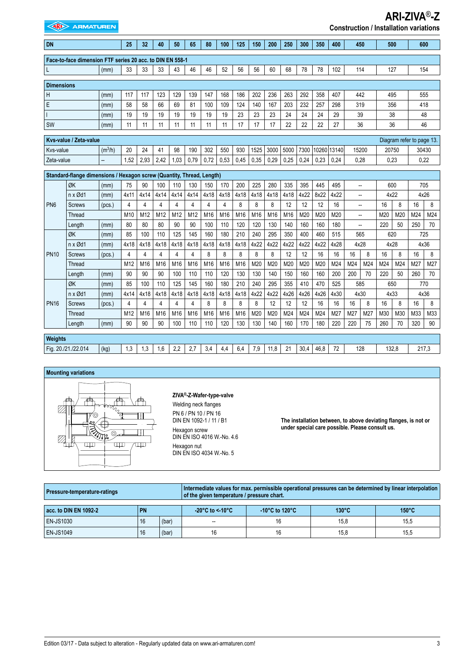| <b>EXAMPLE ARMATUREN</b><br><b>Construction / Installation variations</b> |                                                                       |                     |                 |      |      |      |      |      |      |                 |      |                 |      |      |      |             |       |                          |             |       |                           |     |
|---------------------------------------------------------------------------|-----------------------------------------------------------------------|---------------------|-----------------|------|------|------|------|------|------|-----------------|------|-----------------|------|------|------|-------------|-------|--------------------------|-------------|-------|---------------------------|-----|
| <b>DN</b>                                                                 |                                                                       |                     | 25              | 32   | 40   | 50   | 65   | 80   | 100  | 125             | 150  | 200             | 250  | 300  | 350  | 400         | 450   |                          |             | 500   |                           | 600 |
|                                                                           | Face-to-face dimension FTF series 20 acc. to DIN EN 558-1             |                     |                 |      |      |      |      |      |      |                 |      |                 |      |      |      |             |       |                          |             |       |                           |     |
|                                                                           |                                                                       | (mm)                | 33              | 33   | 33   | 43   | 46   | 46   | 52   | 56              | 56   | 60              | 68   | 78   | 78   | 102         | 114   |                          | 127         |       |                           | 154 |
| <b>Dimensions</b>                                                         |                                                                       |                     |                 |      |      |      |      |      |      |                 |      |                 |      |      |      |             |       |                          |             |       |                           |     |
| Η                                                                         |                                                                       | (mm)                | 117             | 117  | 123  | 129  | 139  | 147  | 168  | 186             | 202  | 236             | 263  | 292  | 358  | 407         | 442   |                          |             | 495   |                           | 555 |
| E                                                                         |                                                                       | (mm)                | 58              | 58   | 66   | 69   | 81   | 100  | 109  | 124             | 140  | 167             | 203  | 232  | 257  | 298         | 319   |                          |             | 356   | 418                       |     |
|                                                                           |                                                                       | (mm)                | 19              | 19   | 19   | 19   | 19   | 19   | 19   | 23              | 23   | 23              | 24   | 24   | 24   | 29          |       | 39                       |             | 38    | 48                        |     |
| <b>SW</b>                                                                 |                                                                       | (mm)                | 11              | 11   | 11   | 11   | 11   | 11   | 11   | 17              | 17   | 17              | 22   | 22   | 22   | 27          | 36    |                          |             | 36    | 46                        |     |
|                                                                           | Kys-value / Zeta-value                                                |                     |                 |      |      |      |      |      |      |                 |      |                 |      |      |      |             |       |                          |             |       | Diagram refer to page 13. |     |
| Kvs-value                                                                 |                                                                       | (m <sup>3</sup> /h) | 20              | 24   | 41   | 98   | 190  | 302  | 550  | 930             | 1525 | 3000            | 5000 | 7300 |      | 10260 13140 | 15200 |                          |             | 20750 | 30430                     |     |
| Zeta-value                                                                |                                                                       | −−                  | 1,52            | 2,93 | 2,42 | 1,03 | 0,79 | 0,72 | 0,53 | 0,45            | 0,35 | 0,29            | 0,25 | 0,24 | 0,23 | 0,24        | 0,28  |                          | 0,23        |       | 0,22                      |     |
|                                                                           | Standard-flange dimensions / Hexagon screw (Quantity, Thread, Length) |                     |                 |      |      |      |      |      |      |                 |      |                 |      |      |      |             |       |                          |             |       |                           |     |
|                                                                           | ØK                                                                    | (mm)                | 75              | 90   | 100  | 110  | 130  | 150  | 170  | 200             | 225  | 280             | 335  | 395  | 445  | 495         | --    |                          | 600<br>4x22 |       | 705                       |     |
|                                                                           | n x Ød1                                                               | (mm)                | 4x11            | 4x14 | 4x14 | 4x14 | 4x14 | 4x18 | 4x18 | 4x18            | 4x18 | 4x18            | 4x18 | 4x22 | 8x22 | 4x22        |       | $\overline{\phantom{a}}$ |             |       |                           |     |
| PN <sub>6</sub>                                                           | <b>Screws</b>                                                         | (pcs.)              | 4               | 4    | 4    | 4    | 4    | 4    | 4    | 8               | 8    | 8               | 12   | 12   | 12   | 16          | --    |                          | 16          | 8     | 16                        | 8   |
|                                                                           | Thread                                                                |                     | M <sub>10</sub> | M12  | M12  | M12  | M12  | M16  | M16  | M <sub>16</sub> | M16  | M <sub>16</sub> | M16  | M20  | M20  | M20         | --    |                          | M20         | M20   | M24                       | M24 |
|                                                                           | Length                                                                | (mm)                | 80              | 80   | 80   | 90   | 90   | 100  | 110  | 120             | 120  | 130             | 140  | 160  | 160  | 180         | --    |                          | 220         | 50    | 250                       | 70  |
|                                                                           | ØK                                                                    | (mm)                | 85              | 100  | 110  | 125  | 145  | 160  | 180  | 210             | 240  | 295             | 350  | 400  | 460  | 515         | 565   |                          |             | 620   | 725                       |     |
|                                                                           | n x Ød1                                                               | (mm)                | 4x18            | 4x18 | 4x18 | 4x18 | 4x18 | 4x18 | 4x18 | 4x18            | 4x22 | 4x22            | 4x22 | 4x22 | 4x22 | 4x28        | 4x28  |                          |             | 4x28  | 4x36                      |     |
| <b>PN10</b>                                                               | <b>Screws</b>                                                         | (pcs.)              | $\overline{4}$  | 4    | 4    | 4    | 4    | 8    | 8    | 8               | 8    | 8               | 12   | 12   | 16   | 16          | 16    | 8                        | 16          | 8     | 16                        | 8   |
|                                                                           | Thread                                                                |                     | M12             | M16  | M16  | M16  | M16  | M16  | M16  | M16             | M20  | M20             | M20  | M20  | M20  | M24         | M24   | M24                      | M24         | M24   | M27                       | M27 |
|                                                                           | Length                                                                | (mm)                | 90              | 90   | 90   | 100  | 110  | 110  | 120  | 130             | 130  | 140             | 150  | 160  | 160  | 200         | 200   | 70                       | 220         | 50    | 260                       | 70  |
|                                                                           | ØK                                                                    | (mm)                | 85              | 100  | 110  | 125  | 145  | 160  | 180  | 210             | 240  | 295             | 355  | 410  | 470  | 525         | 585   |                          |             | 650   |                           | 770 |
|                                                                           | $n \times \emptyset$ d1                                               | (mm)                | 4x14            | 4x18 | 4x18 | 4x18 | 4x18 | 4x18 | 4x18 | 4x18            | 4x22 | 4x22            | 4x26 | 4x26 | 4x26 | 4x30        | 4x30  |                          | 4x33        |       | 4x36                      |     |
| <b>PN16</b>                                                               | Screws                                                                | (pcs.)              | 4               | 4    | 4    | 4    | 4    | 8    | 8    | 8               | 8    | 12              | 12   | 12   | 16   | 16          | 16    | 8                        | 16          | 8     | 16                        | 8   |
|                                                                           | Thread                                                                |                     | M12             | M16  | M16  | M16  | M16  | M16  | M16  | M16             | M20  | M20             | M24  | M24  | M24  | M27         | M27   | M27                      | M30         | M30   | M33                       | M33 |
|                                                                           | Length                                                                | (mm)                | 90              | 90   | 90   | 100  | 110  | 110  | 120  | 130             | 130  | 140             | 160  | 170  | 180  | 220         | 220   | 75                       | 260         | 70    | 320                       | 90  |
| Weights                                                                   |                                                                       |                     |                 |      |      |      |      |      |      |                 |      |                 |      |      |      |             |       |                          |             |       |                           |     |
|                                                                           | Fig. 20./21./22.014                                                   | (kg)                | 1,3             | 1,3  | 1,6  | 2,2  | 2,7  | 3,4  | 4,4  | 6,4             | 7,9  | 11,8            | 21   | 30,4 | 46,8 | 72          | 128   |                          |             | 132,8 | 217,3                     |     |

#### **Mounting variations**



#### **ZIVA®-Z-Wafer-type-valve**

Welding neck flanges PN 6 / PN 10 / PN 16 DIN EN 1092-1 / 11 / B1 Hexagon screw DIN EN ISO 4016 W.-No. 4.6 Hexagon nut DIN EN ISO 4034 W.-No. 5

**The installation between, to above deviating flanges, is not or under special care possible. Please consult us.**

**ARI-ZIVA**®**-Z** 

| <b>Pressure-temperature-ratings</b> |           |       |                                      | Intermediate values for max. permissible operational pressures can be determined by linear interpolation<br>of the given temperature / pressure chart. |                 |                 |  |  |  |  |  |  |  |
|-------------------------------------|-----------|-------|--------------------------------------|--------------------------------------------------------------------------------------------------------------------------------------------------------|-----------------|-----------------|--|--|--|--|--|--|--|
| acc. to DIN EN 1092-2               | <b>PN</b> |       | $-20^{\circ}$ C to <-10 $^{\circ}$ C | -10 $^{\circ}$ C to 120 $^{\circ}$ C                                                                                                                   | $130^{\circ}$ C | $150^{\circ}$ C |  |  |  |  |  |  |  |
| <b>EN-JS1030</b>                    | 16        | (bar) | --                                   | 16                                                                                                                                                     | 15.8            | 15,5            |  |  |  |  |  |  |  |
| <b>EN-JS1049</b>                    | 16        | (bar) | 16                                   | 16                                                                                                                                                     | 15.8            | 15,5            |  |  |  |  |  |  |  |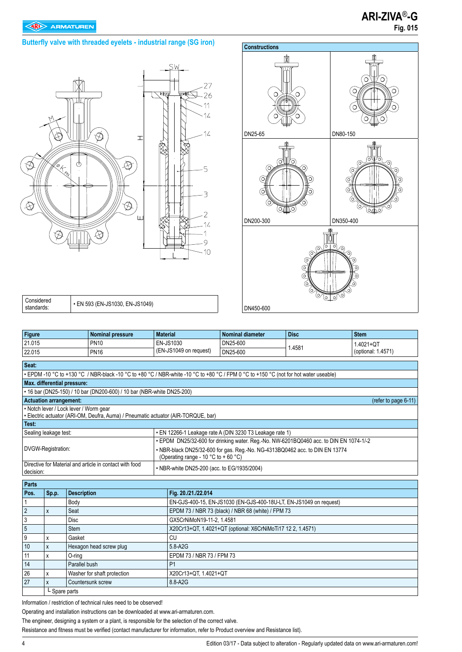### **Butterfly valve with threaded eyelets - industrial range (SG iron)**





| Considered | $\cdot$ EN 593 (EN-JS1030, EN-JS1049) |
|------------|---------------------------------------|
| standards: |                                       |

| <b>Figure</b>                                                          |                                                                                   |                    | <b>Nominal pressure</b>                                                                                                              | <b>Material</b> |                                                                                        | <b>Nominal diameter</b>                                            | <b>Disc</b> | <b>Stem</b>        |  |  |  |  |  |  |  |
|------------------------------------------------------------------------|-----------------------------------------------------------------------------------|--------------------|--------------------------------------------------------------------------------------------------------------------------------------|-----------------|----------------------------------------------------------------------------------------|--------------------------------------------------------------------|-------------|--------------------|--|--|--|--|--|--|--|
| 21.015                                                                 |                                                                                   |                    | <b>PN10</b>                                                                                                                          |                 | EN-JS1030                                                                              | DN25-600                                                           |             | 1.4021+QT          |  |  |  |  |  |  |  |
| 22.015                                                                 |                                                                                   |                    | <b>PN16</b>                                                                                                                          |                 | (EN-JS1049 on request)                                                                 | DN25-600                                                           | 1.4581      | (optional: 1.4571) |  |  |  |  |  |  |  |
| Seat:                                                                  |                                                                                   |                    |                                                                                                                                      |                 |                                                                                        |                                                                    |             |                    |  |  |  |  |  |  |  |
|                                                                        |                                                                                   |                    | • EPDM -10 °C to +130 °C / NBR-black -10 °C to +80 °C / NBR-white -10 °C to +80 °C / FPM 0 °C to +150 °C (not for hot water useable) |                 |                                                                                        |                                                                    |             |                    |  |  |  |  |  |  |  |
| Max. differential pressure:                                            |                                                                                   |                    |                                                                                                                                      |                 |                                                                                        |                                                                    |             |                    |  |  |  |  |  |  |  |
| • 16 bar (DN25-150) / 10 bar (DN200-600) / 10 bar (NBR-white DN25-200) |                                                                                   |                    |                                                                                                                                      |                 |                                                                                        |                                                                    |             |                    |  |  |  |  |  |  |  |
| <b>Actuation arrangement:</b><br>(refer to page 6-11)                  |                                                                                   |                    |                                                                                                                                      |                 |                                                                                        |                                                                    |             |                    |  |  |  |  |  |  |  |
|                                                                        |                                                                                   |                    | • Notch lever / Lock lever / Worm gear<br>· Electric actuator (ARI-OM, Deufra, Auma) / Pneumatic actuator (AIR-TORQUE, bar)          |                 |                                                                                        |                                                                    |             |                    |  |  |  |  |  |  |  |
| Test:                                                                  |                                                                                   |                    |                                                                                                                                      |                 |                                                                                        |                                                                    |             |                    |  |  |  |  |  |  |  |
|                                                                        | • EN 12266-1 Leakage rate A (DIN 3230 T3 Leakage rate 1)<br>Sealing leakage test: |                    |                                                                                                                                      |                 |                                                                                        |                                                                    |             |                    |  |  |  |  |  |  |  |
|                                                                        |                                                                                   |                    |                                                                                                                                      |                 | • EPDM DN25/32-600 for drinking water. Reg.-No. NW-6201BQ0460 acc. to DIN EN 1074-1/-2 |                                                                    |             |                    |  |  |  |  |  |  |  |
|                                                                        | DVGW-Registration:                                                                |                    |                                                                                                                                      |                 | . NBR-black DN25/32-600 for gas. Reg.-No. NG-4313BQ0462 acc. to DIN EN 13774           |                                                                    |             |                    |  |  |  |  |  |  |  |
|                                                                        |                                                                                   |                    |                                                                                                                                      |                 | (Operating range - 10 °C to + 60 °C)                                                   |                                                                    |             |                    |  |  |  |  |  |  |  |
| decision:                                                              |                                                                                   |                    | Directive for Material and article in contact with food                                                                              |                 | • NBR-white DN25-200 (acc. to EG/1935/2004)                                            |                                                                    |             |                    |  |  |  |  |  |  |  |
|                                                                        |                                                                                   |                    |                                                                                                                                      |                 |                                                                                        |                                                                    |             |                    |  |  |  |  |  |  |  |
| <b>Parts</b>                                                           |                                                                                   |                    |                                                                                                                                      |                 |                                                                                        |                                                                    |             |                    |  |  |  |  |  |  |  |
| Pos.                                                                   | Sp.p.                                                                             | <b>Description</b> |                                                                                                                                      |                 | Fig. 20./21./22.014                                                                    |                                                                    |             |                    |  |  |  |  |  |  |  |
| 1                                                                      |                                                                                   | Body               |                                                                                                                                      |                 |                                                                                        | EN-GJS-400-15, EN-JS1030 (EN-GJS-400-18U-LT, EN-JS1049 on request) |             |                    |  |  |  |  |  |  |  |
| $\overline{2}$                                                         | X                                                                                 | Seat               |                                                                                                                                      |                 | EPDM 73 / NBR 73 (black) / NBR 68 (white) / FPM 73                                     |                                                                    |             |                    |  |  |  |  |  |  |  |
| 3                                                                      |                                                                                   | <b>Disc</b>        |                                                                                                                                      |                 | GX5CrNiMoN19-11-2, 1.4581                                                              |                                                                    |             |                    |  |  |  |  |  |  |  |
| $\overline{5}$                                                         |                                                                                   | <b>Stem</b>        |                                                                                                                                      |                 | X20Cr13+QT, 1.4021+QT (optional: X6CrNiMoTi17 12 2, 1.4571)                            |                                                                    |             |                    |  |  |  |  |  |  |  |
| 9                                                                      | X                                                                                 | Gasket             |                                                                                                                                      |                 | CU                                                                                     |                                                                    |             |                    |  |  |  |  |  |  |  |
| 10                                                                     | X                                                                                 |                    | Hexagon head screw plug                                                                                                              |                 | 5.8-A2G                                                                                |                                                                    |             |                    |  |  |  |  |  |  |  |
| 11                                                                     | x                                                                                 | O-rina             |                                                                                                                                      |                 | EPDM 73 / NBR 73 / FPM 73                                                              |                                                                    |             |                    |  |  |  |  |  |  |  |
| 14                                                                     |                                                                                   | Parallel bush      |                                                                                                                                      |                 | P <sub>1</sub>                                                                         |                                                                    |             |                    |  |  |  |  |  |  |  |
| 26                                                                     | X                                                                                 |                    | Washer for shaft protection                                                                                                          |                 | X20Cr13+QT, 1.4021+QT                                                                  |                                                                    |             |                    |  |  |  |  |  |  |  |
| 27                                                                     | $\mathsf{x}$                                                                      |                    | Countersunk screw                                                                                                                    |                 | 8.8-A2G                                                                                |                                                                    |             |                    |  |  |  |  |  |  |  |

L Spare parts

Information / restriction of technical rules need to be observed!

Operating and installation instructions can be downloaded at www.ari-armaturen.com.

The engineer, designing a system or a plant, is responsible for the selection of the correct valve.

Resistance and fitness must be verified (contact manufacturer for information, refer to Product overview and Resistance list).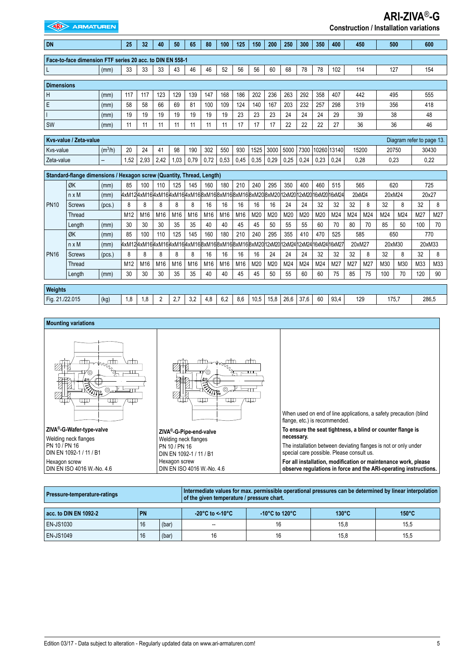| <b>EXIDED ARMATUREN</b><br><b>Construction / Installation variations</b> |                        |                     |                                                         |      |                |      |      |      |      |      |      |        |      |                                          |      |                  |        |     |        |        |                           |        |
|--------------------------------------------------------------------------|------------------------|---------------------|---------------------------------------------------------|------|----------------|------|------|------|------|------|------|--------|------|------------------------------------------|------|------------------|--------|-----|--------|--------|---------------------------|--------|
| <b>DN</b>                                                                |                        |                     | 25                                                      | 32   | 40             | 50   | 65   | 80   | 100  | 125  | 150  | 200    | 250  | 300                                      | 350  | 400              | 450    |     | 500    |        |                           | 600    |
| Face-to-face dimension FTF series 20 acc. to DIN EN 558-1                |                        |                     |                                                         |      |                |      |      |      |      |      |      |        |      |                                          |      |                  |        |     |        |        |                           |        |
|                                                                          |                        | (mm)                | 33                                                      | 33   | 33             | 43   | 46   | 46   | 52   | 56   | 56   | 60     | 68   | 78                                       | 78   | 102              | 114    |     | 127    |        |                           | 154    |
| <b>Dimensions</b>                                                        |                        |                     |                                                         |      |                |      |      |      |      |      |      |        |      |                                          |      |                  |        |     |        |        |                           |        |
| H<br>(mm)                                                                |                        | 117                 | 117                                                     | 123  | 129            | 139  | 147  | 168  | 186  | 202  | 236  | 263    | 292  | 358                                      | 407  | 442              |        | 495 |        |        | 555                       |        |
| E                                                                        |                        | (mm)                | 58                                                      | 58   | 66             | 69   | 81   | 100  | 109  | 124  | 140  | 167    | 203  | 232                                      | 257  | 298              | 319    |     | 356    |        |                           | 418    |
|                                                                          |                        | (mm)                | 19                                                      | 19   | 19             | 19   | 19   | 19   | 19   | 23   | 23   | 23     | 24   | 24                                       | 24   | 29               | 39     |     | 38     |        |                           | 48     |
| SW                                                                       |                        | (mm)                | 11                                                      | 11   | 11             | 11   | 11   | 11   | 11   | 17   | 17   | 17     | 22   | 22                                       | 22   | 27               | 36     |     |        | 36     |                           | 46     |
|                                                                          | Kys-value / Zeta-value |                     |                                                         |      |                |      |      |      |      |      |      |        |      |                                          |      |                  |        |     |        |        | Diagram refer to page 13. |        |
| Kvs-value                                                                |                        | (m <sup>3</sup> /h) | 20                                                      | 24   | 41             | 98   | 190  | 302  | 550  | 930  | 1525 | 3000   | 5000 |                                          |      | 7300 10260 13140 | 15200  |     | 20750  |        | 30430                     |        |
| Zeta-value                                                               |                        |                     | 1.52                                                    | 2.93 | 2,42           | 1.03 | 0.79 | 0.72 | 0.53 | 0.45 | 0,35 | 0,29   | 0,25 | 0,24                                     | 0,23 | 0,24             | 0,28   |     | 0,23   |        | 0,22                      |        |
| Standard-flange dimensions / Hexagon screw (Quantity, Thread, Length)    |                        |                     |                                                         |      |                |      |      |      |      |      |      |        |      |                                          |      |                  |        |     |        |        |                           |        |
|                                                                          | ØK                     | (mm)                | 85                                                      | 100  | 110            | 125  | 145  | 160  | 180  | 210  | 240  | 295    | 350  | 400                                      | 460  | 515              | 565    |     | 620    |        |                           | 725    |
|                                                                          | $n \times M$           | (mm)                | 4xM124xM164xM164xM164xM168xM168xM168xM168xM168xM208xM20 |      |                |      |      |      |      |      |      |        |      | 12xM20 12xM20 16xM20 16xM24              |      |                  | 20xM24 |     | 20xM24 |        |                           | 20x27  |
| <b>PN10</b>                                                              | <b>Screws</b>          | (pcs.)              | 8                                                       | 8    | 8              | 8    | 8    | 16   | 16   | 16   | 16   | 16     | 24   | 24                                       | 32   | 32               | 32     | 8   | 32     | 8      | 32                        | 8      |
|                                                                          | Thread                 |                     | M12                                                     | M16  | M16            | M16  | M16  | M16  | M16  | M16  | M20  | M20    | M20  | M20                                      | M20  | M24              | M24    | M24 | M24    | M24    | M27                       | M27    |
|                                                                          | Length                 | (mm)                | 30                                                      | 30   | 30             | 35   | 35   | 40   | 40   | 45   | 45   | 50     | 55   | 55                                       | 60   | 70               | 80     | 70  | 85     | 50     | 100                       | 70     |
|                                                                          | ØK                     | (mm)                | 85                                                      | 100  | 110            | 125  | 145  | 160  | 180  | 210  | 240  | 295    | 355  | 410                                      | 470  | 525              | 585    |     | 650    |        |                           | 770    |
|                                                                          | $n \times M$           | (mm)                | 4xM124xM164xM164xM164xM168xM168xM168xM168xM168xM20      |      |                |      |      |      |      |      |      | 12xM20 |      | 12xM24 <sup> </sup> 12xM24 16xM24 16xM27 |      |                  | 20xM27 |     |        | 20xM30 |                           | 20xM33 |
| <b>PN16</b>                                                              | <b>Screws</b>          | (pcs.)              | 8                                                       | 8    | 8              | 8    | 8    | 16   | 16   | 16   | 16   | 24     | 24   | 24                                       | 32   | 32               | 32     | 8   | 32     | 8      | 32                        | 8      |
|                                                                          | Thread                 |                     | M12                                                     | M16  | M16            | M16  | M16  | M16  | M16  | M16  | M20  | M20    | M24  | M24                                      | M24  | M27              | M27    | M27 | M30    | M30    | M33                       | M33    |
|                                                                          | Length                 | (mm)                | 30                                                      | 30   | 30             | 35   | 35   | 40   | 40   | 45   | 45   | 50     | 55   | 60                                       | 60   | 75               | 85     | 75  | 100    | 70     | 120                       | 90     |
| Weights                                                                  |                        |                     |                                                         |      |                |      |      |      |      |      |      |        |      |                                          |      |                  |        |     |        |        |                           |        |
| Fig. 21./22.015                                                          |                        | (kg)                | 1,8                                                     | 1,8  | $\overline{2}$ | 2,7  | 3,2  | 4,8  | 6,2  | 8.6  | 10,5 | 15,8   | 26,6 | 37,6                                     | 60   | 93,4             | 129    |     | 175.7  |        |                           | 286,5  |



| Pressure-temperature-ratings |           |       |                                      | Intermediate values for max. permissible operational pressures can be determined by linear interpolation<br>of the given temperature / pressure chart. |                 |                 |  |  |  |  |  |  |  |
|------------------------------|-----------|-------|--------------------------------------|--------------------------------------------------------------------------------------------------------------------------------------------------------|-----------------|-----------------|--|--|--|--|--|--|--|
| acc. to DIN EN 1092-2        | <b>PN</b> |       | $-20^{\circ}$ C to < 10 $^{\circ}$ C | -10 $^{\circ}$ C to 120 $^{\circ}$ C                                                                                                                   | $130^{\circ}$ C | $150^{\circ}$ C |  |  |  |  |  |  |  |
| EN-JS1030                    | 16        | (bar) | --                                   | 16                                                                                                                                                     | 15.8            | 15.5            |  |  |  |  |  |  |  |
| <b>EN-JS1049</b>             | 16        | (bar) | 16                                   | 16                                                                                                                                                     | 15,8            | 15,5            |  |  |  |  |  |  |  |

**ARI-ZIVA**®**-G**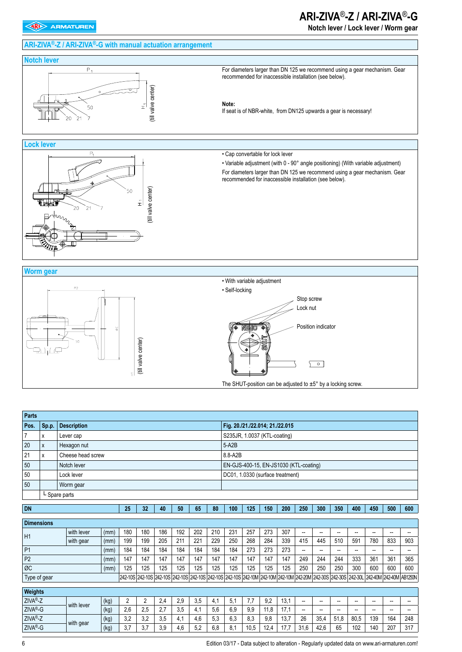# **ARI-ZIVA®-Z / ARI-ZIVA®-G with manual actuation arrangement**

# **ARI-ZIVA**®**-Z / ARI-ZIVA**®**-G**

**Notch lever / Lock lever / Worm gear**



6 Edition 03/17 - Data subject to alteration - Regularly updated data on www.ari-armaturen.com!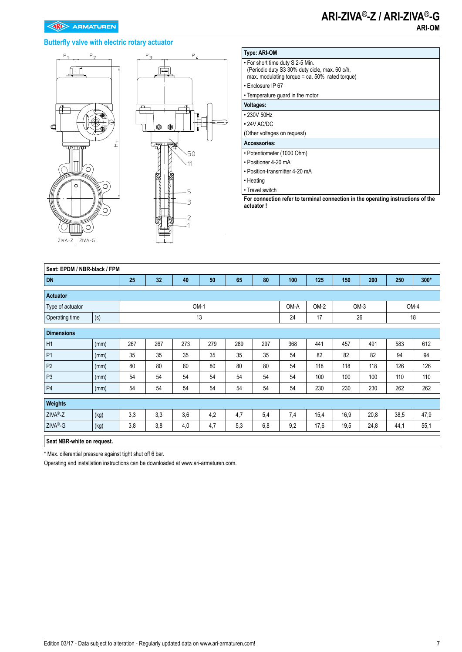# **ARI-ZIVA**®**-Z / ARI-ZIVA**®**-G ARI-OM**

### **Butterfly valve with electric rotary actuator**





#### **Type: ARI-OM** • For short time duty S 2-5 Min. (Periodic duty S3 30% duty cicle, max. 60 c/h, max. modulating torque = ca. 50% rated torque) • Enclosure IP 67

• Temperature guard in the motor

**Voltages:**

• 230V 50Hz

**•** 24V AC/DC **(**Other voltages on request)

## **Accessories:**

• Potentiometer (1000 Ohm)

• Positioner 4-20 mA

• Position-transmitter 4-20 mA

• Heating

• Travel switch

**For connection refer to terminal connection in the operating instructions of the actuator !**

| Seat: EPDM / NBR-black / FPM |      |     |          |        |     |      |        |     |        |      |      |      |        |
|------------------------------|------|-----|----------|--------|-----|------|--------|-----|--------|------|------|------|--------|
| <b>DN</b>                    |      | 25  | 32       | 40     | 50  | 65   | 80     | 100 | 125    | 150  | 200  | 250  | $300*$ |
| <b>Actuator</b>              |      |     |          |        |     |      |        |     |        |      |      |      |        |
| Type of actuator             |      |     |          | $OM-1$ |     | OM-A | $OM-2$ |     | $OM-3$ | OM-4 |      |      |        |
| Operating time               | (s)  |     | 13<br>24 |        |     |      |        |     |        |      | 26   |      | 18     |
| <b>Dimensions</b>            |      |     |          |        |     |      |        |     |        |      |      |      |        |
| H1                           | (mm) | 267 | 267      | 273    | 279 | 289  | 297    | 368 | 441    | 457  | 491  | 583  | 612    |
| P <sub>1</sub>               | (mm) | 35  | 35       | 35     | 35  | 35   | 35     | 54  | 82     | 82   | 82   | 94   | 94     |
| P <sub>2</sub>               | (mm) | 80  | 80       | 80     | 80  | 80   | 80     | 54  | 118    | 118  | 118  | 126  | 126    |
| P <sub>3</sub>               | (mm) | 54  | 54       | 54     | 54  | 54   | 54     | 54  | 100    | 100  | 100  | 110  | 110    |
| <b>P4</b>                    | (mm) | 54  | 54       | 54     | 54  | 54   | 54     | 54  | 230    | 230  | 230  | 262  | 262    |
| Weights                      |      |     |          |        |     |      |        |     |        |      |      |      |        |
| ZIVA®-Z                      | (kg) | 3,3 | 3,3      | 3,6    | 4,2 | 4,7  | 5,4    | 7,4 | 15,4   | 16,9 | 20,8 | 38,5 | 47,9   |
| ZIVA®-G                      | (kg) | 3,8 | 3,8      | 4,0    | 4,7 | 5,3  | 6,8    | 9,2 | 17,6   | 19,5 | 24,8 | 44,1 | 55,1   |
| Seat NBR-white on request.   |      |     |          |        |     |      |        |     |        |      |      |      |        |

\* Max. diferential pressure against tight shut off 6 bar.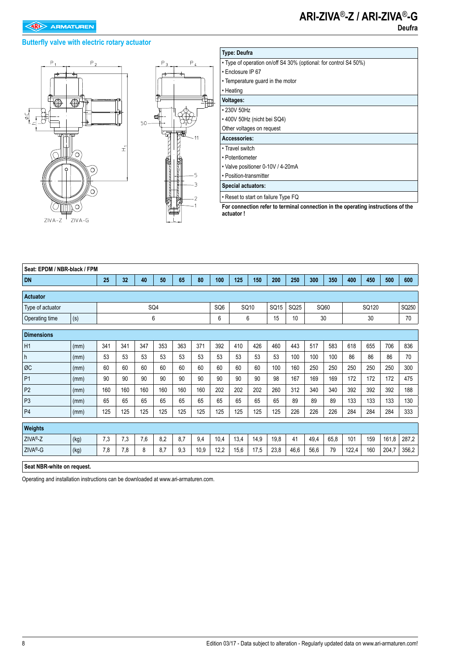# **Butterfly valve with electric rotary actuator**





| <b>Type: Deufra</b>                                                              |
|----------------------------------------------------------------------------------|
| • Type of operation on/off S4 30% (optional: for control S4 50%)                 |
| • Enclosure IP 67                                                                |
| • Temperature guard in the motor                                                 |
| • Heating                                                                        |
| Voltages:                                                                        |
| • 230V 50Hz                                                                      |
| • 400V 50Hz (nicht bei SQ4)                                                      |
| Other voltages on request                                                        |
| Accessories:                                                                     |
| • Travel switch                                                                  |
| • Potentiometer                                                                  |
| • Valve positioner 0-10V / 4-20mA                                                |
| • Position-transmitter                                                           |
| Special actuators:                                                               |
| • Reset to start on failure Type FQ                                              |
| For connection refer to terminal connection in the operating instructions of the |

**For connection refer to terminal connection in the operating instructions of the actuator !**

| Seat: EPDM / NBR-black / FPM |                            |     |     |     |     |     |      |                         |      |      |      |      |      |       |       |     |       |       |
|------------------------------|----------------------------|-----|-----|-----|-----|-----|------|-------------------------|------|------|------|------|------|-------|-------|-----|-------|-------|
| <b>DN</b>                    |                            | 25  | 32  | 40  | 50  | 65  | 80   | 100                     | 125  | 150  | 200  | 250  | 300  | 350   | 400   | 450 | 500   | 600   |
| <b>Actuator</b>              |                            |     |     |     |     |     |      |                         |      |      |      |      |      |       |       |     |       |       |
| Type of actuator             | SQ4                        |     |     |     |     |     |      | SQ <sub>6</sub><br>SQ10 |      |      | SQ25 |      | SQ60 | SQ120 |       |     | SQ250 |       |
| Operating time               | (s)                        |     |     |     | 6   |     |      | 6                       |      | 6    | 15   | 10   |      | 30    |       | 30  |       | 70    |
| <b>Dimensions</b>            |                            |     |     |     |     |     |      |                         |      |      |      |      |      |       |       |     |       |       |
| H1                           | (mm)                       | 341 | 341 | 347 | 353 | 363 | 371  | 392                     | 410  | 426  | 460  | 443  | 517  | 583   | 618   | 655 | 706   | 836   |
| h                            | (mm)                       | 53  | 53  | 53  | 53  | 53  | 53   | 53                      | 53   | 53   | 53   | 100  | 100  | 100   | 86    | 86  | 86    | 70    |
| ØC                           | (mm)                       | 60  | 60  | 60  | 60  | 60  | 60   | 60                      | 60   | 60   | 100  | 160  | 250  | 250   | 250   | 250 | 250   | 300   |
| P <sub>1</sub>               | (mm)                       | 90  | 90  | 90  | 90  | 90  | 90   | 90                      | 90   | 90   | 98   | 167  | 169  | 169   | 172   | 172 | 172   | 475   |
| P <sub>2</sub>               | (mm)                       | 160 | 160 | 160 | 160 | 160 | 160  | 202                     | 202  | 202  | 260  | 312  | 340  | 340   | 392   | 392 | 392   | 188   |
| P <sub>3</sub>               | (mm)                       | 65  | 65  | 65  | 65  | 65  | 65   | 65                      | 65   | 65   | 65   | 89   | 89   | 89    | 133   | 133 | 133   | 130   |
| P <sub>4</sub>               | (mm)                       | 125 | 125 | 125 | 125 | 125 | 125  | 125                     | 125  | 125  | 125  | 226  | 226  | 226   | 284   | 284 | 284   | 333   |
| Weights                      |                            |     |     |     |     |     |      |                         |      |      |      |      |      |       |       |     |       |       |
| ZIVA <sup>®</sup> -Z         | (kg)                       | 7,3 | 7,3 | 7,6 | 8,2 | 8,7 | 9,4  | 10,4                    | 13,4 | 14,9 | 19,8 | 41   | 49,4 | 65,8  | 101   | 159 | 161,8 | 287,2 |
| ZIVA <sup>®</sup> -G         | (kg)                       | 7,8 | 7,8 | 8   | 8,7 | 9,3 | 10,9 | 12,2                    | 15,6 | 17,5 | 23,8 | 46,6 | 56,6 | 79    | 122,4 | 160 | 204,7 | 356,2 |
|                              | Seat NBR-white on request. |     |     |     |     |     |      |                         |      |      |      |      |      |       |       |     |       |       |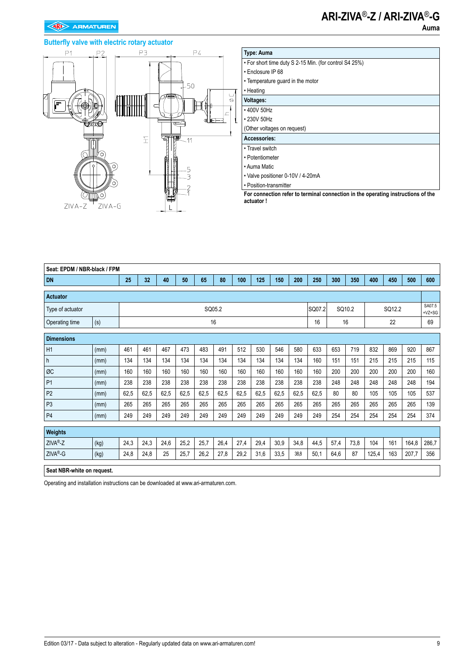### **Butterfly valve with electric rotary actuator**



| <b>Type: Auma</b>                                      |
|--------------------------------------------------------|
| • For short time duty S 2-15 Min. (for control S4 25%) |
| • Enclosure IP 68                                      |
| • Temperature guard in the motor                       |
| • Heating                                              |
| Voltages:                                              |
| • 400V 50Hz                                            |
| • 230V 50Hz                                            |
| (Other voltages on request)                            |
| Accessories:                                           |
| • Travel switch                                        |
| • Potentiometer                                        |
| • Auma Matic                                           |
| • Valve positioner 0-10V / 4-20mA                      |
| • Position-transmitter                                 |

**For connection refer to terminal connection in the operating instructions of the actuator !**

| Seat: EPDM / NBR-black / FPM |      |      |      |      |      |      |        |      |      |      |      |        |      |        |       |        |       |                    |
|------------------------------|------|------|------|------|------|------|--------|------|------|------|------|--------|------|--------|-------|--------|-------|--------------------|
| <b>DN</b>                    |      | 25   | 32   | 40   | 50   | 65   | 80     | 100  | 125  | 150  | 200  | 250    | 300  | 350    | 400   | 450    | 500   | 600                |
| <b>Actuator</b>              |      |      |      |      |      |      |        |      |      |      |      |        |      |        |       |        |       |                    |
| Type of actuator             |      |      |      |      |      |      | SQ05.2 |      |      |      |      | SQ07.2 |      | SQ10.2 |       | SQ12.2 |       | SA07.5<br>$+VZ+SG$ |
| Operating time               | (s)  |      |      |      |      |      | 16     |      |      |      |      | 16     |      | 16     |       | 22     |       | 69                 |
| <b>Dimensions</b>            |      |      |      |      |      |      |        |      |      |      |      |        |      |        |       |        |       |                    |
| H1                           | (mm) | 461  | 461  | 467  | 473  | 483  | 491    | 512  | 530  | 546  | 580  | 633    | 653  | 719    | 832   | 869    | 920   | 867                |
| h                            | (mm) | 134  | 134  | 134  | 134  | 134  | 134    | 134  | 134  | 134  | 134  | 160    | 151  | 151    | 215   | 215    | 215   | 115                |
| ØC                           | (mm) | 160  | 160  | 160  | 160  | 160  | 160    | 160  | 160  | 160  | 160  | 160    | 200  | 200    | 200   | 200    | 200   | 160                |
| P <sub>1</sub>               | (mm) | 238  | 238  | 238  | 238  | 238  | 238    | 238  | 238  | 238  | 238  | 238    | 248  | 248    | 248   | 248    | 248   | 194                |
| P <sub>2</sub>               | (mm) | 62,5 | 62,5 | 62,5 | 62,5 | 62,5 | 62,5   | 62,5 | 62,5 | 62,5 | 62,5 | 62,5   | 80   | 80     | 105   | 105    | 105   | 537                |
| P <sub>3</sub>               | (mm) | 265  | 265  | 265  | 265  | 265  | 265    | 265  | 265  | 265  | 265  | 265    | 265  | 265    | 265   | 265    | 265   | 139                |
| P <sub>4</sub>               | (mm) | 249  | 249  | 249  | 249  | 249  | 249    | 249  | 249  | 249  | 249  | 249    | 254  | 254    | 254   | 254    | 254   | 374                |
| Weights                      |      |      |      |      |      |      |        |      |      |      |      |        |      |        |       |        |       |                    |
| ZIVA <sup>®</sup> -Z         | (kg) | 24,3 | 24,3 | 24,6 | 25,2 | 25,7 | 26,4   | 27,4 | 29,4 | 30,9 | 34,8 | 44,5   | 57,4 | 73,8   | 104   | 161    | 164,8 | 286,7              |
| ZIVA®-G                      | (kg) | 24,8 | 24,8 | 25   | 25,7 | 26,2 | 27,8   | 29,2 | 31,6 | 33,5 | 38,8 | 50,1   | 64,6 | 87     | 125,4 | 163    | 207,7 | 356                |
| Seat NBR-white on request.   |      |      |      |      |      |      |        |      |      |      |      |        |      |        |       |        |       |                    |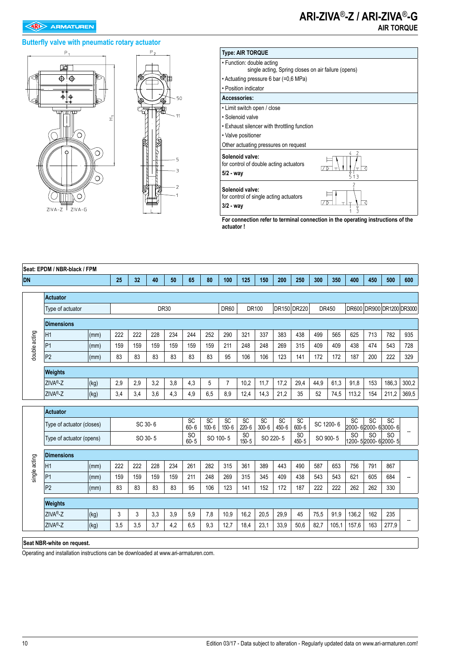#### **Butterfly valve with pneumatic rotary actuator**







**For connection refer to terminal connection in the operating instructions of the actuator !**

|                                       | Seat: EPDM / NBR-black / FPM<br>400<br>40<br>50<br>80<br>100<br>200<br>300<br>600 |      |         |     |         |             |                           |                 |                              |                  |                              |                          |                  |      |           |                          |                 |                                 |       |
|---------------------------------------|-----------------------------------------------------------------------------------|------|---------|-----|---------|-------------|---------------------------|-----------------|------------------------------|------------------|------------------------------|--------------------------|------------------|------|-----------|--------------------------|-----------------|---------------------------------|-------|
| <b>DN</b>                             |                                                                                   |      | 25      | 32  |         |             | 65                        |                 |                              | 125              | 150                          |                          | 250              |      | 350       |                          | 450             | 500                             |       |
|                                       | <b>Actuator</b>                                                                   |      |         |     |         |             |                           |                 |                              |                  |                              |                          |                  |      |           |                          |                 |                                 |       |
|                                       | Type of actuator                                                                  |      |         |     |         | <b>DR30</b> |                           |                 | <b>DR60</b>                  |                  | DR100                        |                          | DR150 DR220      |      | DR450     |                          |                 | DR600 DR900 DR1200 DR3000       |       |
|                                       |                                                                                   |      |         |     |         |             |                           |                 |                              |                  |                              |                          |                  |      |           |                          |                 |                                 |       |
|                                       | <b>Dimensions</b>                                                                 |      |         |     |         |             |                           |                 |                              |                  |                              |                          |                  |      |           |                          |                 |                                 |       |
|                                       | H <sub>1</sub>                                                                    | (mm) | 222     | 222 | 228     | 234         | 244                       | 252             | 290                          | 321              | 337                          | 383                      | 438              | 499  | 565       | 625                      | 713             | 782                             | 935   |
| double acting                         | P <sub>1</sub>                                                                    | (mm) | 159     | 159 | 159     | 159         | 159                       | 159             | 211                          | 248              | 248                          | 269                      | 315              | 409  | 409       | 438                      | 474             | 543                             | 728   |
|                                       | P <sub>2</sub>                                                                    | (mm) | 83      | 83  | 83      | 83          | 83                        | 83              | 95                           | 106              | 106                          | 123                      | 141              | 172  | 172       | 187                      | 200             | 222                             | 329   |
|                                       | Weights                                                                           |      |         |     |         |             |                           |                 |                              |                  |                              |                          |                  |      |           |                          |                 |                                 |       |
|                                       | ZIVA®-Z                                                                           | 2,9  | 2,9     | 3,2 | 3,8     | 4,3         | 5                         | $\overline{7}$  | 10,2                         | 11,7             | 17,2                         | 29,4                     | 44,9             | 61,3 | 91,8      | 153                      | 186,3           | 300,2                           |       |
| (kg)<br>ZIVA®-Z<br>(kg)<br>3,4<br>3,4 |                                                                                   |      |         |     | 3,6     | 4,3         | 4,9                       | 6,5             | 8,9                          | 12,4             | 14,3                         | 21,2                     | 35               | 52   | 74,5      | 113,2                    | 154             | 211,2                           | 369,5 |
|                                       |                                                                                   |      |         |     |         |             |                           |                 |                              |                  |                              |                          |                  |      |           |                          |                 |                                 |       |
|                                       | <b>Actuator</b>                                                                   |      |         |     |         |             |                           |                 |                              |                  |                              |                          |                  |      |           |                          |                 |                                 |       |
|                                       | Type of actuator (closes)                                                         |      | SC 30-6 |     |         |             | SC<br>$60 - 6$            | SC<br>$100 - 6$ | $\overline{SC}$<br>$150 - 6$ | SC<br>$220 - 6$  | $\overline{SC}$<br>$300 - 6$ | $\overline{SC}$<br>450-6 | SC<br>$600 - 6$  |      | SC 1200-6 | SC<br>2000-62000-63000-6 | $\overline{SC}$ | <b>SC</b>                       |       |
|                                       | Type of actuator (opens)                                                          |      |         |     | SO 30-5 |             | <sub>SO</sub><br>$60 - 5$ |                 | SO 100-5                     | $rac{SO}{150-5}$ |                              | SO 220-5                 | $rac{SO}{450-5}$ |      | SO 900-5  | S <sub>O</sub>           | <sub>SO</sub>   | <b>SO</b><br>1200-52000-62000-5 |       |
|                                       | <b>Dimensions</b>                                                                 |      |         |     |         |             |                           |                 |                              |                  |                              |                          |                  |      |           |                          |                 |                                 |       |
| single acting                         | H <sub>1</sub>                                                                    | (mm) | 222     | 222 | 228     | 234         | 261                       | 282             | 315                          | 361              | 389                          | 443                      | 490              | 587  | 653       | 756                      | 791             | 867                             |       |
|                                       | P <sub>1</sub>                                                                    | (mm) | 159     | 159 | 159     | 159         | 211                       | 248             | 269                          | 315              | 345                          | 409                      | 438              | 543  | 543       | 621                      | 605             | 684                             | --    |
|                                       | P <sub>2</sub>                                                                    | (mm) | 83      | 83  | 83      | 83          | 95                        | 106             | 123                          | 141              | 152                          | 172                      | 187              | 222  | 222       | 262                      | 262             | 330                             |       |
|                                       |                                                                                   |      |         |     |         |             |                           |                 |                              |                  |                              |                          |                  |      |           |                          |                 |                                 |       |
|                                       | <b>Weights</b>                                                                    |      |         |     |         |             |                           |                 |                              |                  |                              |                          |                  |      |           |                          |                 |                                 |       |
|                                       | ZIVA <sup>®</sup> -Z                                                              | (kg) | 3       | 3   | 3,3     | 3,9         | 5,9                       | 7,8             | 10,9                         | 16,2             | 20,5                         | 29,9                     | 45               | 75,5 | 91,9      | 136,2                    | 162             | 235                             |       |
|                                       | ZIVA®-Z                                                                           | (kg) | 3,5     | 3,5 | 3,7     | 4,2         | 6,5                       | 9,3             | 12,7                         | 18,4             | 23,1                         | 33,9                     | 50,6             | 82,7 | 105,1     | 157,6                    | 163             | 277,9                           |       |
|                                       |                                                                                   |      |         |     |         |             |                           |                 |                              |                  |                              |                          |                  |      |           |                          |                 |                                 |       |

**Seat NBR-white on request.**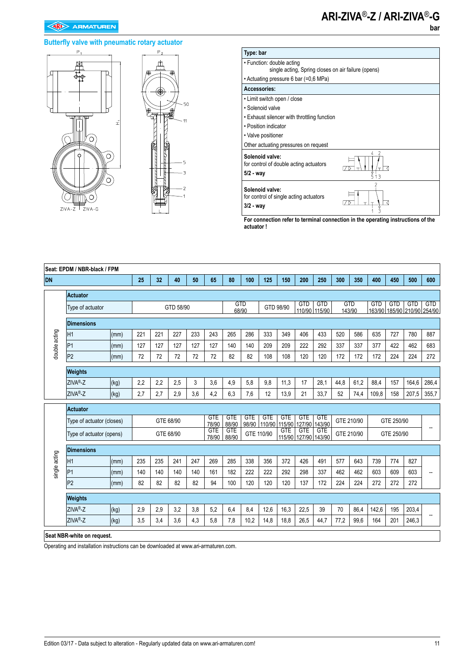### **Butterfly valve with pneumatic rotary actuator**





| Type: bar                                                                        |               |
|----------------------------------------------------------------------------------|---------------|
| • Function: double acting<br>single acting, Spring closes on air failure (opens) |               |
| • Actuating pressure 6 bar (=0,6 MPa)                                            |               |
| Accessories:                                                                     |               |
| • Limit switch open / close                                                      |               |
| • Solenoid valve                                                                 |               |
| • Exhaust silencer with throttling function                                      |               |
| • Position indicator                                                             |               |
| • Valve positioner                                                               |               |
| Other actuating pressures on request                                             |               |
| Solenoid valve:<br>for control of double acting actuators<br>$5/2 - way$         | 2<br>4<br>513 |
| Solenoid valve:<br>for control of single acting actuators<br>$3/2 - way$         |               |

**For connection refer to terminal connection in the operating instructions of the actuator !**

|               | Seat: EPDM / NBR-black / FPM<br>32<br>25<br>50<br>65<br>80<br>100<br>125<br>150<br>200<br>250<br>300<br>350<br>400<br>450<br>500<br>600<br>40 |      |           |     |           |      |                     |                     |            |                                                  |                      |                             |                             |       |                      |            |            |                                           |                |
|---------------|-----------------------------------------------------------------------------------------------------------------------------------------------|------|-----------|-----|-----------|------|---------------------|---------------------|------------|--------------------------------------------------|----------------------|-----------------------------|-----------------------------|-------|----------------------|------------|------------|-------------------------------------------|----------------|
| <b>DN</b>     |                                                                                                                                               |      |           |     |           |      |                     |                     |            |                                                  |                      |                             |                             |       |                      |            |            |                                           |                |
|               | <b>Actuator</b>                                                                                                                               |      |           |     |           |      |                     |                     |            |                                                  |                      |                             |                             |       |                      |            |            |                                           |                |
|               | Type of actuator                                                                                                                              |      |           |     | GTD 58/90 |      |                     | <b>GTD</b><br>68/90 |            | GTD 98/90                                        |                      | <b>GTD</b>                  | <b>GTD</b><br>110/90 115/90 |       | <b>GTD</b><br>143/90 | <b>GTD</b> | <b>GTD</b> | <b>GTD</b><br>163/90 185/90 210/90 254/90 | <b>GTD</b>     |
|               | <b>Dimensions</b>                                                                                                                             |      |           |     |           |      |                     |                     |            |                                                  |                      |                             |                             |       |                      |            |            |                                           |                |
| double acting | IH1                                                                                                                                           | (mm) | 221       | 221 | 227       | 233  | 243                 | 265                 | 286        | 333                                              | 349                  | 406                         | 433                         | 520   | 586                  | 635        | 727        | 780                                       | 887            |
|               | P1                                                                                                                                            | (mm) | 127       | 127 | 127       | 127  | 127                 | 140                 | 140        | 209                                              | 209                  | 222                         | 292                         | 337   | 337                  | 377        | 422        | 462                                       | 683            |
|               | P <sub>2</sub>                                                                                                                                | (mm) | 72        | 72  | 72        | 72   | 72                  | 82                  | 82         | 108                                              | 108                  | 120                         | 120                         | 172   | 172                  | 172        | 224        | 224                                       | 272            |
|               | Weights                                                                                                                                       |      |           |     |           |      |                     |                     |            |                                                  |                      |                             |                             |       |                      |            |            |                                           |                |
|               | ZIVA®-Z                                                                                                                                       | (kg) | 2,2       | 2,2 | 2,5       | 3    | 3,6                 | 4,9                 | 5,8        | 9,8                                              | 11,3                 | 17                          | 28,1                        | 44,8  | 61,2                 | 88,4       | 157        | 164,6                                     | 286,4          |
|               | ZIVA <sup>®</sup> -Z                                                                                                                          | 4,2  | 6,3       | 7,6 | 12        | 13,9 | 21                  | 33,7                | 52         | 74,4                                             | 109,8                | 158                         | 207,5                       | 355,7 |                      |            |            |                                           |                |
|               | <b>Actuator</b>                                                                                                                               |      |           |     |           |      |                     |                     |            |                                                  |                      |                             |                             |       |                      |            |            |                                           |                |
|               | Type of actuator (closes)                                                                                                                     |      |           |     | GTE 68/90 |      | <b>GTE</b><br>78/90 | <b>GTE</b><br>88/90 | <b>GTE</b> | <b>GTE</b><br>98/90 110/90                       | <b>GTE</b><br>115/90 | <b>GTE</b><br>127/90 143/90 | <b>GTE</b>                  |       | GTE 210/90           |            | GTE 250/90 |                                           |                |
|               | Type of actuator (opens)                                                                                                                      |      | GTE 68/90 |     |           |      | <b>GTE</b><br>78/90 | <b>GTE</b><br>88/90 |            | GTE<br>GTE<br>GTE 110/90<br>115/90 127/90 143/90 |                      |                             | GTE                         |       | GTE 210/90           |            | GTE 250/90 |                                           | $\overline{a}$ |
|               | <b>Dimensions</b>                                                                                                                             |      |           |     |           |      |                     |                     |            |                                                  |                      |                             |                             |       |                      |            |            |                                           |                |
| single acting | H <sub>1</sub>                                                                                                                                | (mm) | 235       | 235 | 241       | 247  | 269                 | 285                 | 338        | 356                                              | 372                  | 426                         | 491                         | 577   | 643                  | 739        | 774        | 827                                       |                |
|               | P <sub>1</sub>                                                                                                                                | (mm) | 140       | 140 | 140       | 140  | 161                 | 182                 | 222        | 222                                              | 292                  | 298                         | 337                         | 462   | 462                  | 603        | 609        | 603                                       |                |
|               | P <sub>2</sub>                                                                                                                                | (mm) | 82        | 82  | 82        | 82   | 94                  | 100                 | 120        | 120                                              | 120                  | 137                         | 172                         | 224   | 224                  | 272        | 272        | 272                                       |                |
|               | Weights                                                                                                                                       |      |           |     |           |      |                     |                     |            |                                                  |                      |                             |                             |       |                      |            |            |                                           |                |
|               | ZIVA®-Z                                                                                                                                       | (kg) | 2,9       | 2,9 | 3,2       | 3,8  | 5,2                 | 6,4                 | 8,4        | 12,6                                             | 16,3                 | 22,5                        | 39                          | 70    | 86,4                 | 142,6      | 195        | 203,4                                     |                |
|               | ZIVA <sup>®</sup> -Z                                                                                                                          | (kg) | 3,5       | 3,4 | 3,6       | 4,3  | 5,8                 | 7,8                 | 10,2       | 14,8                                             | 18,8                 | 26,5                        | 44,7                        | 77,2  | 99,6                 | 164        | 201        | 246,3                                     |                |
|               | Seat NBR-white on request.                                                                                                                    |      |           |     |           |      |                     |                     |            |                                                  |                      |                             |                             |       |                      |            |            |                                           |                |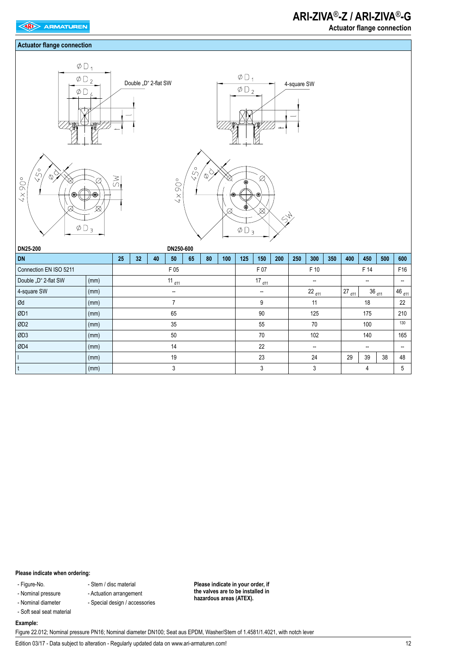#### **Actuator flange connection**

 **Actuator flange connection**







| DN25-200               |      |    |    |    | DN250-600                |    |    |     |        |            |     |                          |                          |     |                |            |        |     |
|------------------------|------|----|----|----|--------------------------|----|----|-----|--------|------------|-----|--------------------------|--------------------------|-----|----------------|------------|--------|-----|
| <b>DN</b>              |      | 25 | 32 | 40 | 50                       | 65 | 80 | 100 | 125    | 150        | 200 | 250                      | 300                      | 350 | 400            | 450        | 500    | 600 |
| Connection EN ISO 5211 |      |    |    |    | F 05                     |    |    |     |        | F 07       |     |                          | F 10                     |     |                | F 14       |        | F16 |
| Double "D" 2-flat SW   | (mm) |    |    |    | $11_{d11}$               |    |    |     |        | $17_{d11}$ |     |                          | $\overline{\phantom{a}}$ |     |                | --         |        | --  |
| 4-square SW            | (mm) |    |    |    | $\overline{\phantom{a}}$ |    |    |     |        | --         |     |                          | $22_{d11}$               |     | $27_{d11}$     | $36_{d11}$ | 46 d11 |     |
| Ød                     | (mm) |    |    |    | 7                        |    |    |     |        | 9          |     |                          | 11                       |     |                | 22         |        |     |
| ØD1                    | (mm) |    |    |    | 65                       |    |    |     |        | 90         |     |                          | 125                      |     |                | 175        |        | 210 |
| ØD <sub>2</sub>        | (mm) |    |    |    | 35                       |    |    |     |        | 55         |     | 70                       |                          |     |                | 100        |        | 130 |
| ØD3                    | (mm) |    |    |    | 50                       |    |    |     |        | 70         |     |                          | 102                      |     | 140            |            |        | 165 |
| ØD4                    | (mm) |    |    |    | 14                       |    |    |     | 22     |            |     | $\overline{\phantom{a}}$ |                          |     | --             |            |        | --  |
|                        | (mm) |    |    |    | 19                       |    |    |     | 23     |            |     | 24                       |                          |     | 38<br>29<br>39 |            |        |     |
|                        | (mm) | 3  |    |    |                          |    |    |     | 3<br>3 |            |     |                          |                          |     | 5              |            |        |     |

#### **Please indicate when ordering:**

- Figure-No.
- Nominal pressure
- Nominal diameter
- Soft seal seat material
- Special design / accessories

**Please indicate in your order, if the valves are to be installed in hazardous areas (ATEX).**

### **Example:**

Figure 22.012; Nominal pressure PN16; Nominal diameter DN100; Seat aus EPDM, Washer/Stem of 1.4581/1.4021, with notch lever

Edition 03/17 - Data subject to alteration - Regularly updated data on www.ari-armaturen.com!

- Stem / disc material - Actuation arrangement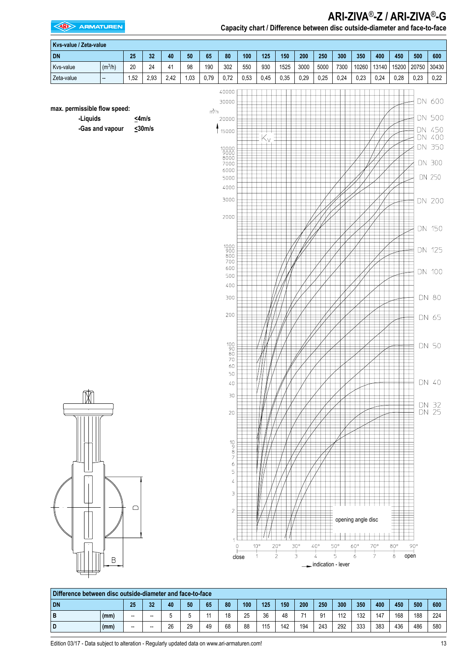**EXAMPLE ARMATUREN** 

| Capacity chart / Difference between disc outside-diameter and face-to-face |
|----------------------------------------------------------------------------|
|                                                                            |

|                                          | Kvs-value / Zeta-value |      |                             |        |      |         |                                                                                                                                                                                                                                                                               |       |                             |                               |                             |                                                      |                               |                                                  |                               |                               |                      |                                                                                                                                       |
|------------------------------------------|------------------------|------|-----------------------------|--------|------|---------|-------------------------------------------------------------------------------------------------------------------------------------------------------------------------------------------------------------------------------------------------------------------------------|-------|-----------------------------|-------------------------------|-----------------------------|------------------------------------------------------|-------------------------------|--------------------------------------------------|-------------------------------|-------------------------------|----------------------|---------------------------------------------------------------------------------------------------------------------------------------|
| <b>DN</b>                                |                        | 25   | $32\,$                      | $40\,$ | 50   | 65      | 80                                                                                                                                                                                                                                                                            | 100   | 125                         | 150                           | 200                         | 250                                                  | 300                           | 350                                              | 400                           | 450                           | 500                  | 600                                                                                                                                   |
| Kvs-value                                | $(m^3/h)$              | 20   | 24                          | 41     | 98   | 190     | 302                                                                                                                                                                                                                                                                           | 550   | 930                         | 1525                          | 3000                        | 5000                                                 | 7300                          | 10260                                            | 13140                         | 15200                         | 20750                | 30430                                                                                                                                 |
| Zeta-value                               | --                     | 1,52 | 2,93                        | 2,42   | 1,03 | 0,79    | 0,72                                                                                                                                                                                                                                                                          | 0,53  | 0,45                        | 0,35                          | 0,29                        | 0,25                                                 | 0,24                          | 0,23                                             | 0,24                          | 0,28                          | 0,23                 | 0,22                                                                                                                                  |
| max. permissible flow speed:<br>-Liquids | -Gas and vapour        |      | $\leq$ 4m/s<br>$\leq$ 30m/s |        |      | $m^3/h$ | 40000<br>30000<br>20000<br>15000<br>10000<br>9000<br>8000<br>7000<br>6000<br>5000<br>4000<br>3000<br>2000<br>$\begin{array}{c} 1000 \\ 900 \\ 800 \end{array}$<br>700<br>600<br>500<br>400<br>300<br>200<br>$\begin{bmatrix} 100 \\ 90 \\ 80 \\ 70 \end{bmatrix}$<br>60<br>50 |       | \٧                          |                               |                             |                                                      |                               |                                                  |                               |                               |                      | DN 600<br>DN 500<br>DN 450<br>DN 400<br>DN 350<br>DN 300<br>DN 250<br>DN 200<br>DN 150<br>DN 125<br>DN 100<br>DN 80<br>DN 65<br>DN 50 |
| M                                        |                        |      |                             |        |      |         | $40\,$<br>30<br>20                                                                                                                                                                                                                                                            |       |                             |                               |                             |                                                      |                               |                                                  |                               |                               |                      | DN 40<br>DN 32<br>DN 25                                                                                                               |
|                                          | Β                      | □    |                             |        |      |         | $\begin{array}{c}\n10 \\ 9 \\ 8 \\ 7\n\end{array}$<br>6<br>5<br>4<br>3<br>$\sqrt{2}$<br>$\overline{1}$<br>N                                                                                                                                                                   | close | $10^{\circ}$<br>$\mathbf 1$ | $20^{\circ}$<br>$\frac{1}{2}$ | $30^\circ$<br>$\frac{1}{3}$ | $40^{\circ}$<br>$\overline{4}$<br>indication - lever | $50^{\circ}$<br>$\frac{1}{5}$ | opening angle disc<br>$60^{\circ}$<br>$\ddot{6}$ | $70^{\circ}$<br>$\frac{1}{7}$ | $80^{\circ}$<br>$\frac{1}{8}$ | $90^{\circ}$<br>open |                                                                                                                                       |

|           | Difference between disc outside-diameter and face-to-face |                          |                          |    |    |    |    |     |     |     |     |     |     |     |     |     |     |     |
|-----------|-----------------------------------------------------------|--------------------------|--------------------------|----|----|----|----|-----|-----|-----|-----|-----|-----|-----|-----|-----|-----|-----|
| <b>DN</b> |                                                           | 25                       | 32                       | 40 | 50 | 65 | 80 | 100 | 125 | 150 | 200 | 250 | 300 | 350 | 400 | 450 | 500 | 600 |
| D         | (mm)                                                      | $\overline{\phantom{a}}$ | --                       |    |    | 44 | 18 | 25  | 36  | 48  | 74  | 91  | 112 | 132 | 147 | 168 | 188 | 224 |
|           | (mm)                                                      | $\overline{\phantom{a}}$ | $\overline{\phantom{a}}$ | 26 | 29 | 49 | 68 | 88  | 115 | 142 | 194 | 243 | 292 | 333 | 383 | 436 | 486 | 580 |

Edition 03/17 - Data subject to alteration - Regularly updated data on www.ari-armaturen.com! 13